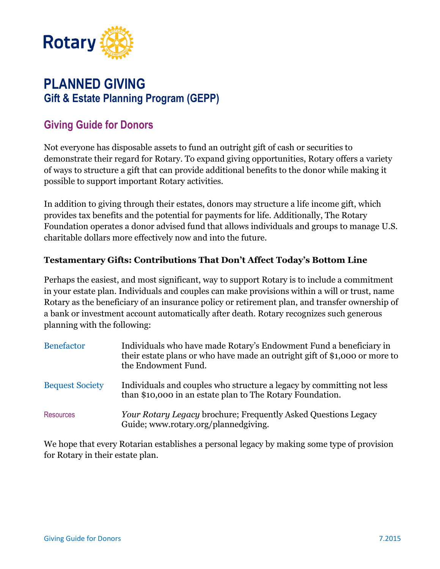

# **PLANNED GIVING Gift & Estate Planning Program (GEPP)**

# **Giving Guide for Donors**

Not everyone has disposable assets to fund an outright gift of cash or securities to demonstrate their regard for Rotary. To expand giving opportunities, Rotary offers a variety of ways to structure a gift that can provide additional benefits to the donor while making it possible to support important Rotary activities.

In addition to giving through their estates, donors may structure a life income gift, which provides tax benefits and the potential for payments for life. Additionally, The Rotary Foundation operates a donor advised fund that allows individuals and groups to manage U.S. charitable dollars more effectively now and into the future.

## **Testamentary Gifts: Contributions That Don't Affect Today's Bottom Line**

Perhaps the easiest, and most significant, way to support Rotary is to include a commitment in your estate plan. Individuals and couples can make provisions within a will or trust, name Rotary as the beneficiary of an insurance policy or retirement plan, and transfer ownership of a bank or investment account automatically after death. Rotary recognizes such generous planning with the following:

| <b>Benefactor</b>      | Individuals who have made Rotary's Endowment Fund a beneficiary in<br>their estate plans or who have made an outright gift of \$1,000 or more to<br>the Endowment Fund. |
|------------------------|-------------------------------------------------------------------------------------------------------------------------------------------------------------------------|
| <b>Bequest Society</b> | Individuals and couples who structure a legacy by committing not less<br>than \$10,000 in an estate plan to The Rotary Foundation.                                      |
| <b>Resources</b>       | Your Rotary Legacy brochure; Frequently Asked Questions Legacy<br>Guide; www.rotary.org/plannedgiving.                                                                  |

We hope that every Rotarian establishes a personal legacy by making some type of provision for Rotary in their estate plan.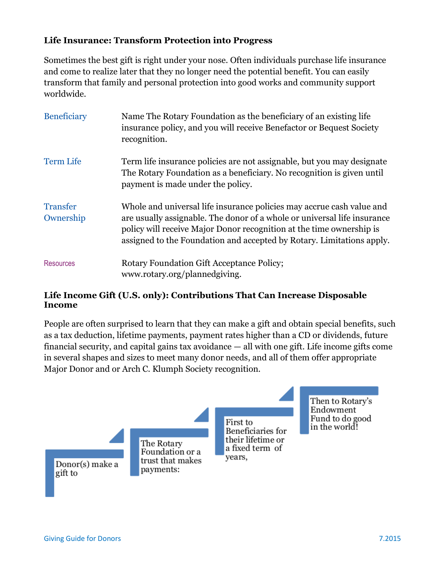## **Life Insurance: Transform Protection into Progress**

Sometimes the best gift is right under your nose. Often individuals purchase life insurance and come to realize later that they no longer need the potential benefit. You can easily transform that family and personal protection into good works and community support worldwide.

| <b>Beneficiary</b>           | Name The Rotary Foundation as the beneficiary of an existing life<br>insurance policy, and you will receive Benefactor or Bequest Society<br>recognition.                                                                                                                                          |
|------------------------------|----------------------------------------------------------------------------------------------------------------------------------------------------------------------------------------------------------------------------------------------------------------------------------------------------|
| <b>Term Life</b>             | Term life insurance policies are not assignable, but you may designate<br>The Rotary Foundation as a beneficiary. No recognition is given until<br>payment is made under the policy.                                                                                                               |
| <b>Transfer</b><br>Ownership | Whole and universal life insurance policies may accrue cash value and<br>are usually assignable. The donor of a whole or universal life insurance<br>policy will receive Major Donor recognition at the time ownership is<br>assigned to the Foundation and accepted by Rotary. Limitations apply. |
| <b>Resources</b>             | <b>Rotary Foundation Gift Acceptance Policy;</b><br>www.rotary.org/plannedgiving.                                                                                                                                                                                                                  |

#### **Life Income Gift (U.S. only): Contributions That Can Increase Disposable Income**

People are often surprised to learn that they can make a gift and obtain special benefits, such as a tax deduction, lifetime payments, payment rates higher than a CD or dividends, future financial security, and capital gains tax avoidance — all with one gift. Life income gifts come in several shapes and sizes to meet many donor needs, and all of them offer appropriate Major Donor and or Arch C. Klumph Society recognition.

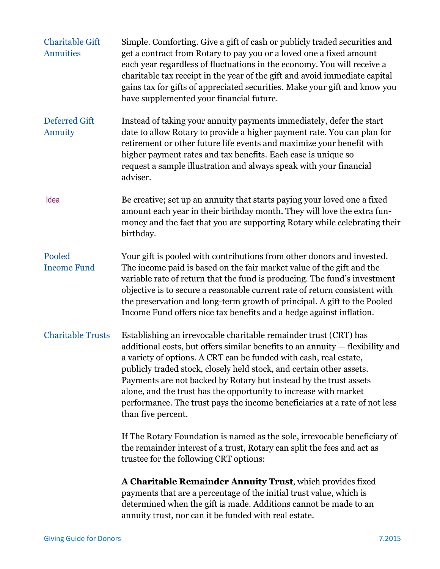| <b>Charitable Gift</b><br><b>Annuities</b> | Simple. Comforting. Give a gift of cash or publicly traded securities and<br>get a contract from Rotary to pay you or a loved one a fixed amount<br>each year regardless of fluctuations in the economy. You will receive a<br>charitable tax receipt in the year of the gift and avoid immediate capital<br>gains tax for gifts of appreciated securities. Make your gift and know you<br>have supplemented your financial future.                                                                                                         |
|--------------------------------------------|---------------------------------------------------------------------------------------------------------------------------------------------------------------------------------------------------------------------------------------------------------------------------------------------------------------------------------------------------------------------------------------------------------------------------------------------------------------------------------------------------------------------------------------------|
| <b>Deferred Gift</b><br>Annuity            | Instead of taking your annuity payments immediately, defer the start<br>date to allow Rotary to provide a higher payment rate. You can plan for<br>retirement or other future life events and maximize your benefit with<br>higher payment rates and tax benefits. Each case is unique so<br>request a sample illustration and always speak with your financial<br>adviser.                                                                                                                                                                 |
| Idea                                       | Be creative; set up an annuity that starts paying your loved one a fixed<br>amount each year in their birthday month. They will love the extra fun-<br>money and the fact that you are supporting Rotary while celebrating their<br>birthday.                                                                                                                                                                                                                                                                                               |
| Pooled<br><b>Income Fund</b>               | Your gift is pooled with contributions from other donors and invested.<br>The income paid is based on the fair market value of the gift and the<br>variable rate of return that the fund is producing. The fund's investment<br>objective is to secure a reasonable current rate of return consistent with<br>the preservation and long-term growth of principal. A gift to the Pooled<br>Income Fund offers nice tax benefits and a hedge against inflation.                                                                               |
| <b>Charitable Trusts</b>                   | Establishing an irrevocable charitable remainder trust (CRT) has<br>additional costs, but offers similar benefits to an annuity - flexibility and<br>a variety of options. A CRT can be funded with cash, real estate,<br>publicly traded stock, closely held stock, and certain other assets.<br>Payments are not backed by Rotary but instead by the trust assets<br>alone, and the trust has the opportunity to increase with market<br>performance. The trust pays the income beneficiaries at a rate of not less<br>than five percent. |
|                                            | If The Rotary Foundation is named as the sole, irrevocable beneficiary of<br>the remainder interest of a trust, Rotary can split the fees and act as<br>trustee for the following CRT options:                                                                                                                                                                                                                                                                                                                                              |
|                                            | A Charitable Remainder Annuity Trust, which provides fixed<br>payments that are a percentage of the initial trust value, which is<br>determined when the gift is made. Additions cannot be made to an<br>annuity trust, nor can it be funded with real estate.                                                                                                                                                                                                                                                                              |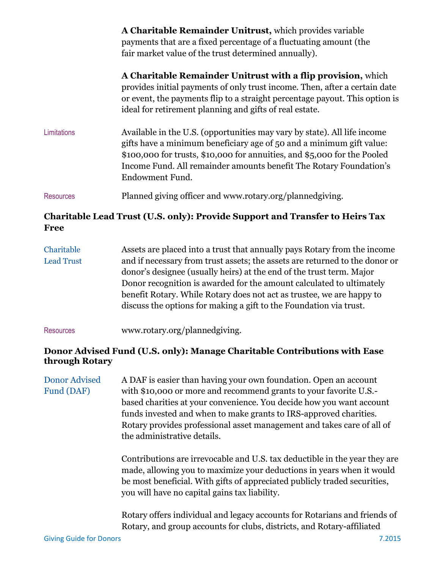|                  | A Charitable Remainder Unitrust, which provides variable<br>payments that are a fixed percentage of a fluctuating amount (the<br>fair market value of the trust determined annually).                                                                                                                                 |
|------------------|-----------------------------------------------------------------------------------------------------------------------------------------------------------------------------------------------------------------------------------------------------------------------------------------------------------------------|
|                  | A Charitable Remainder Unitrust with a flip provision, which<br>provides initial payments of only trust income. Then, after a certain date<br>or event, the payments flip to a straight percentage payout. This option is<br>ideal for retirement planning and gifts of real estate.                                  |
| Limitations      | Available in the U.S. (opportunities may vary by state). All life income<br>gifts have a minimum beneficiary age of 50 and a minimum gift value:<br>\$100,000 for trusts, \$10,000 for annuities, and \$5,000 for the Pooled<br>Income Fund. All remainder amounts benefit The Rotary Foundation's<br>Endowment Fund. |
| <b>Resources</b> | Planned giving officer and www.rotary.org/plannedgiving.                                                                                                                                                                                                                                                              |

# **Charitable Lead Trust (U.S. only): Provide Support and Transfer to Heirs Tax Free**

| Charitable        | Assets are placed into a trust that annually pays Rotary from the income    |
|-------------------|-----------------------------------------------------------------------------|
| <b>Lead Trust</b> | and if necessary from trust assets; the assets are returned to the donor or |
|                   | donor's designee (usually heirs) at the end of the trust term. Major        |
|                   | Donor recognition is awarded for the amount calculated to ultimately        |
|                   | benefit Rotary. While Rotary does not act as trustee, we are happy to       |
|                   | discuss the options for making a gift to the Foundation via trust.          |

#### Resources www.rotary.org/plannedgiving.

#### **Donor Advised Fund (U.S. only): Manage Charitable Contributions with Ease through Rotary**

Donor Advised A DAF is easier than having your own foundation. Open an account Fund (DAF) with \$10,000 or more and recommend grants to your favorite U.S.based charities at your convenience. You decide how you want account funds invested and when to make grants to IRS-approved charities. Rotary provides professional asset management and takes care of all of the administrative details.

> Contributions are irrevocable and U.S. tax deductible in the year they are made, allowing you to maximize your deductions in years when it would be most beneficial. With gifts of appreciated publicly traded securities, you will have no capital gains tax liability.

> Rotary offers individual and legacy accounts for Rotarians and friends of Rotary, and group accounts for clubs, districts, and Rotary-affiliated